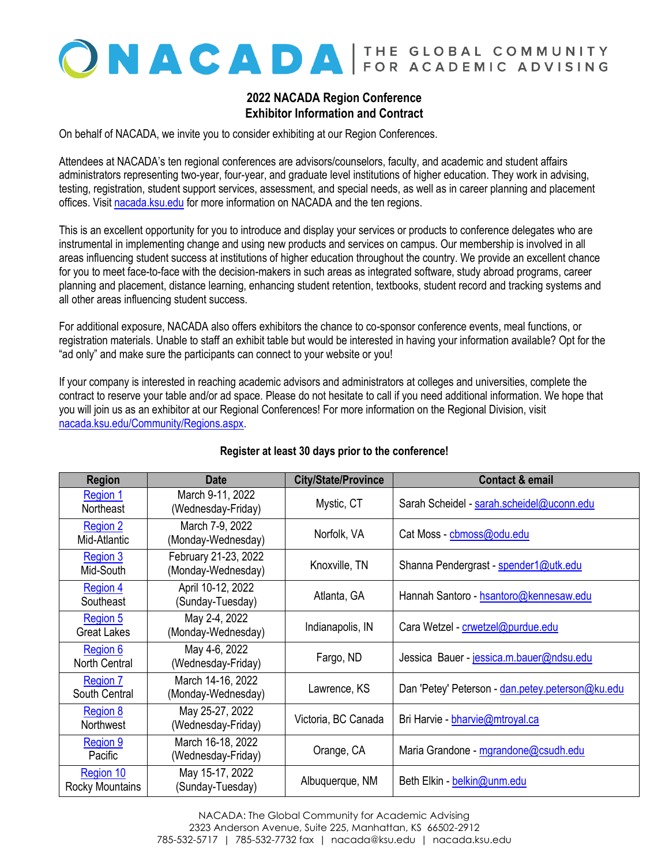# ONACADA FOR ACADEMIC ADVISING

## **2022 NACADA Region Conference Exhibitor Information and Contract**

On behalf of NACADA, we invite you to consider exhibiting at our Region Conferences.

Attendees at NACADA's ten regional conferences are advisors/counselors, faculty, and academic and student affairs administrators representing two-year, four-year, and graduate level institutions of higher education. They work in advising, testing, registration, student support services, assessment, and special needs, as well as in career planning and placement offices. Visi[t nacada.ksu.edu](http://www.nacada.ksu.edu/) for more information on NACADA and the ten regions.

This is an excellent opportunity for you to introduce and display your services or products to conference delegates who are instrumental in implementing change and using new products and services on campus. Our membership is involved in all areas influencing student success at institutions of higher education throughout the country. We provide an excellent chance for you to meet face-to-face with the decision-makers in such areas as integrated software, study abroad programs, career planning and placement, distance learning, enhancing student retention, textbooks, student record and tracking systems and all other areas influencing student success.

For additional exposure, NACADA also offers exhibitors the chance to co-sponsor conference events, meal functions, or registration materials. Unable to staff an exhibit table but would be interested in having your information available? Opt for the "ad only" and make sure the participants can connect to your website or you!

If your company is interested in reaching academic advisors and administrators at colleges and universities, complete the contract to reserve your table and/or ad space. Please do not hesitate to call if you need additional information. We hope that you will join us as an exhibitor at our Regional Conferences! For more information on the Regional Division, visit [nacada.ksu.edu/Community/Regions.aspx.](http://www.nacada.ksu.edu/Community/Regions.aspx)

| <b>Region</b>                       | <b>Date</b>                                | <b>City/State/Province</b> | <b>Contact &amp; email</b>                       |
|-------------------------------------|--------------------------------------------|----------------------------|--------------------------------------------------|
| Region 1<br><b>Northeast</b>        | March 9-11, 2022<br>(Wednesday-Friday)     | Mystic, CT                 | Sarah Scheidel - sarah.scheidel@uconn.edu        |
| Region 2<br>Mid-Atlantic            | March 7-9, 2022<br>(Monday-Wednesday)      | Norfolk, VA                | Cat Moss - cbmoss@odu.edu                        |
| Region 3<br>Mid-South               | February 21-23, 2022<br>(Monday-Wednesday) | Knoxville, TN              | Shanna Pendergrast - spender1@utk.edu            |
| Region 4<br>Southeast               | April 10-12, 2022<br>(Sunday-Tuesday)      | Atlanta, GA                | Hannah Santoro - hsantoro@kennesaw.edu           |
| Region 5<br><b>Great Lakes</b>      | May 2-4, 2022<br>(Monday-Wednesday)        | Indianapolis, IN           | Cara Wetzel - crwetzel@purdue.edu                |
| Region 6<br>North Central           | May 4-6, 2022<br>(Wednesday-Friday)        | Fargo, ND                  | Jessica Bauer - jessica.m.bauer@ndsu.edu         |
| <b>Region 7</b><br>South Central    | March 14-16, 2022<br>(Monday-Wednesday)    | Lawrence, KS               | Dan 'Petey' Peterson - dan.petey.peterson@ku.edu |
| Region 8<br>Northwest               | May 25-27, 2022<br>(Wednesday-Friday)      | Victoria, BC Canada        | Bri Harvie - bharvie@mtroyal.ca                  |
| Region 9<br>Pacific                 | March 16-18, 2022<br>(Wednesday-Friday)    | Orange, CA                 | Maria Grandone - mgrandone@csudh.edu             |
| Region 10<br><b>Rocky Mountains</b> | May 15-17, 2022<br>(Sunday-Tuesday)        | Albuquerque, NM            | Beth Elkin - belkin@unm.edu                      |

## **Register at least 30 days prior to the conference!**